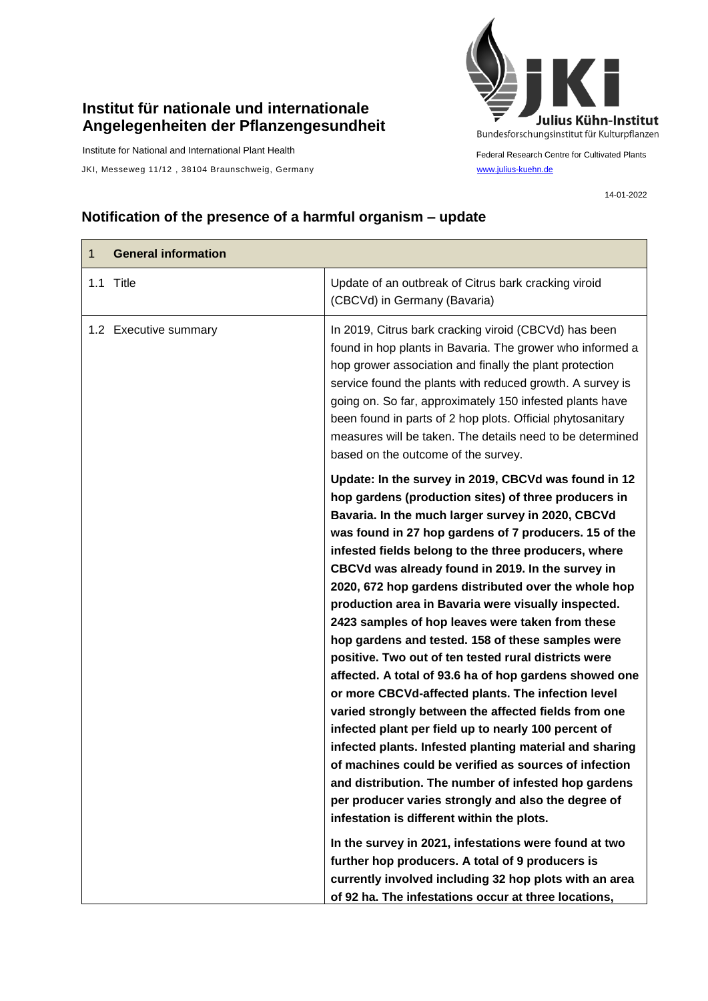## **Institut für nationale und internationale Angelegenheiten der Pflanzengesundheit**

Institute for National and International Plant Health

JKI, Messeweg 11/12, 38104 Braunschweig, Germany [www.julius-kuehn.de](http://www.julius-kuehn.de/)



Federal Research Centre for Cultivated Plants

14-01-2022

## **Notification of the presence of a harmful organism – update**

| <b>General information</b><br>$\mathbf{1}$ |                                                                                                                                                                                                                                                                                                                                                                                                                                                                                                                                                                                                                                                                                                                                                                                                                                                                                                                                                                                                                                                                                                                                                                                                                                                                                                                                                                         |
|--------------------------------------------|-------------------------------------------------------------------------------------------------------------------------------------------------------------------------------------------------------------------------------------------------------------------------------------------------------------------------------------------------------------------------------------------------------------------------------------------------------------------------------------------------------------------------------------------------------------------------------------------------------------------------------------------------------------------------------------------------------------------------------------------------------------------------------------------------------------------------------------------------------------------------------------------------------------------------------------------------------------------------------------------------------------------------------------------------------------------------------------------------------------------------------------------------------------------------------------------------------------------------------------------------------------------------------------------------------------------------------------------------------------------------|
| 1.1 Title                                  | Update of an outbreak of Citrus bark cracking viroid<br>(CBCVd) in Germany (Bavaria)                                                                                                                                                                                                                                                                                                                                                                                                                                                                                                                                                                                                                                                                                                                                                                                                                                                                                                                                                                                                                                                                                                                                                                                                                                                                                    |
| 1.2 Executive summary                      | In 2019, Citrus bark cracking viroid (CBCVd) has been<br>found in hop plants in Bavaria. The grower who informed a<br>hop grower association and finally the plant protection<br>service found the plants with reduced growth. A survey is<br>going on. So far, approximately 150 infested plants have<br>been found in parts of 2 hop plots. Official phytosanitary<br>measures will be taken. The details need to be determined<br>based on the outcome of the survey.                                                                                                                                                                                                                                                                                                                                                                                                                                                                                                                                                                                                                                                                                                                                                                                                                                                                                                |
|                                            | Update: In the survey in 2019, CBCVd was found in 12<br>hop gardens (production sites) of three producers in<br>Bavaria. In the much larger survey in 2020, CBCVd<br>was found in 27 hop gardens of 7 producers. 15 of the<br>infested fields belong to the three producers, where<br>CBCVd was already found in 2019. In the survey in<br>2020, 672 hop gardens distributed over the whole hop<br>production area in Bavaria were visually inspected.<br>2423 samples of hop leaves were taken from these<br>hop gardens and tested. 158 of these samples were<br>positive. Two out of ten tested rural districts were<br>affected. A total of 93.6 ha of hop gardens showed one<br>or more CBCVd-affected plants. The infection level<br>varied strongly between the affected fields from one<br>infected plant per field up to nearly 100 percent of<br>infected plants. Infested planting material and sharing<br>of machines could be verified as sources of infection<br>and distribution. The number of infested hop gardens<br>per producer varies strongly and also the degree of<br>infestation is different within the plots.<br>In the survey in 2021, infestations were found at two<br>further hop producers. A total of 9 producers is<br>currently involved including 32 hop plots with an area<br>of 92 ha. The infestations occur at three locations, |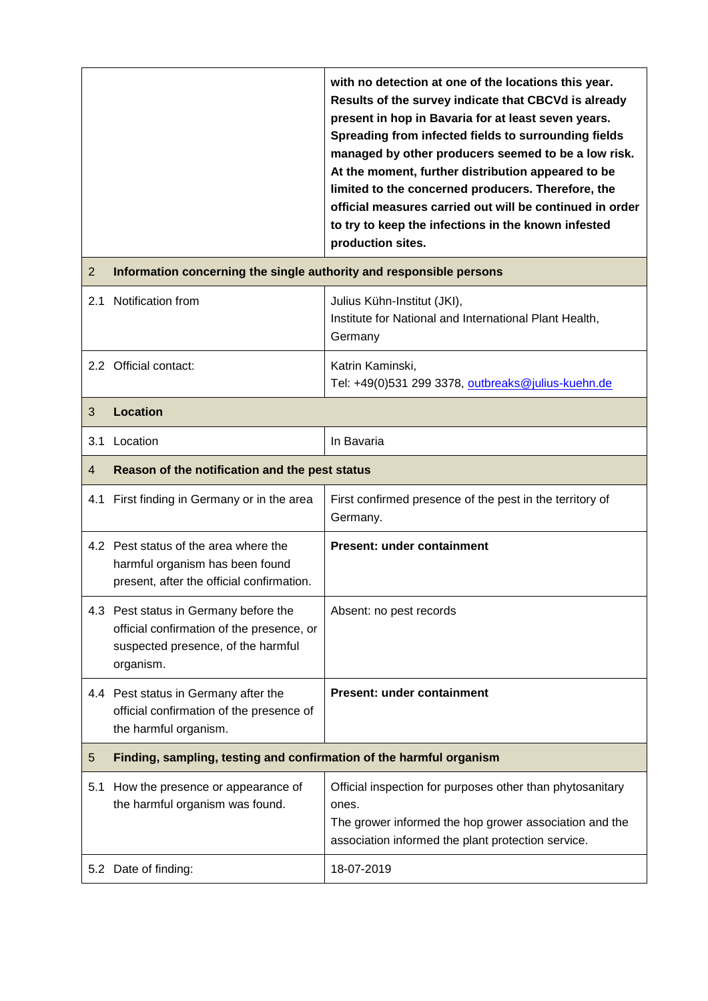|                |                                                                                                                                       | with no detection at one of the locations this year.<br>Results of the survey indicate that CBCVd is already<br>present in hop in Bavaria for at least seven years.<br>Spreading from infected fields to surrounding fields<br>managed by other producers seemed to be a low risk.<br>At the moment, further distribution appeared to be<br>limited to the concerned producers. Therefore, the<br>official measures carried out will be continued in order<br>to try to keep the infections in the known infested<br>production sites. |  |
|----------------|---------------------------------------------------------------------------------------------------------------------------------------|----------------------------------------------------------------------------------------------------------------------------------------------------------------------------------------------------------------------------------------------------------------------------------------------------------------------------------------------------------------------------------------------------------------------------------------------------------------------------------------------------------------------------------------|--|
| $\overline{2}$ | Information concerning the single authority and responsible persons                                                                   |                                                                                                                                                                                                                                                                                                                                                                                                                                                                                                                                        |  |
|                | 2.1 Notification from                                                                                                                 | Julius Kühn-Institut (JKI),<br>Institute for National and International Plant Health,<br>Germany                                                                                                                                                                                                                                                                                                                                                                                                                                       |  |
|                | 2.2 Official contact:                                                                                                                 | Katrin Kaminski,<br>Tel: +49(0)531 299 3378, outbreaks@julius-kuehn.de                                                                                                                                                                                                                                                                                                                                                                                                                                                                 |  |
| 3              | <b>Location</b>                                                                                                                       |                                                                                                                                                                                                                                                                                                                                                                                                                                                                                                                                        |  |
| 3.1            | Location                                                                                                                              | In Bavaria                                                                                                                                                                                                                                                                                                                                                                                                                                                                                                                             |  |
| 4              | Reason of the notification and the pest status                                                                                        |                                                                                                                                                                                                                                                                                                                                                                                                                                                                                                                                        |  |
|                | 4.1 First finding in Germany or in the area                                                                                           | First confirmed presence of the pest in the territory of<br>Germany.                                                                                                                                                                                                                                                                                                                                                                                                                                                                   |  |
|                | 4.2 Pest status of the area where the<br>harmful organism has been found<br>present, after the official confirmation.                 | <b>Present: under containment</b>                                                                                                                                                                                                                                                                                                                                                                                                                                                                                                      |  |
|                | 4.3 Pest status in Germany before the<br>official confirmation of the presence, or<br>suspected presence, of the harmful<br>organism. | Absent: no pest records                                                                                                                                                                                                                                                                                                                                                                                                                                                                                                                |  |
|                | 4.4 Pest status in Germany after the<br>official confirmation of the presence of<br>the harmful organism.                             | <b>Present: under containment</b>                                                                                                                                                                                                                                                                                                                                                                                                                                                                                                      |  |
| 5              | Finding, sampling, testing and confirmation of the harmful organism                                                                   |                                                                                                                                                                                                                                                                                                                                                                                                                                                                                                                                        |  |
| 5.1            | How the presence or appearance of<br>the harmful organism was found.                                                                  | Official inspection for purposes other than phytosanitary<br>ones.<br>The grower informed the hop grower association and the<br>association informed the plant protection service.                                                                                                                                                                                                                                                                                                                                                     |  |
|                | 5.2 Date of finding:                                                                                                                  | 18-07-2019                                                                                                                                                                                                                                                                                                                                                                                                                                                                                                                             |  |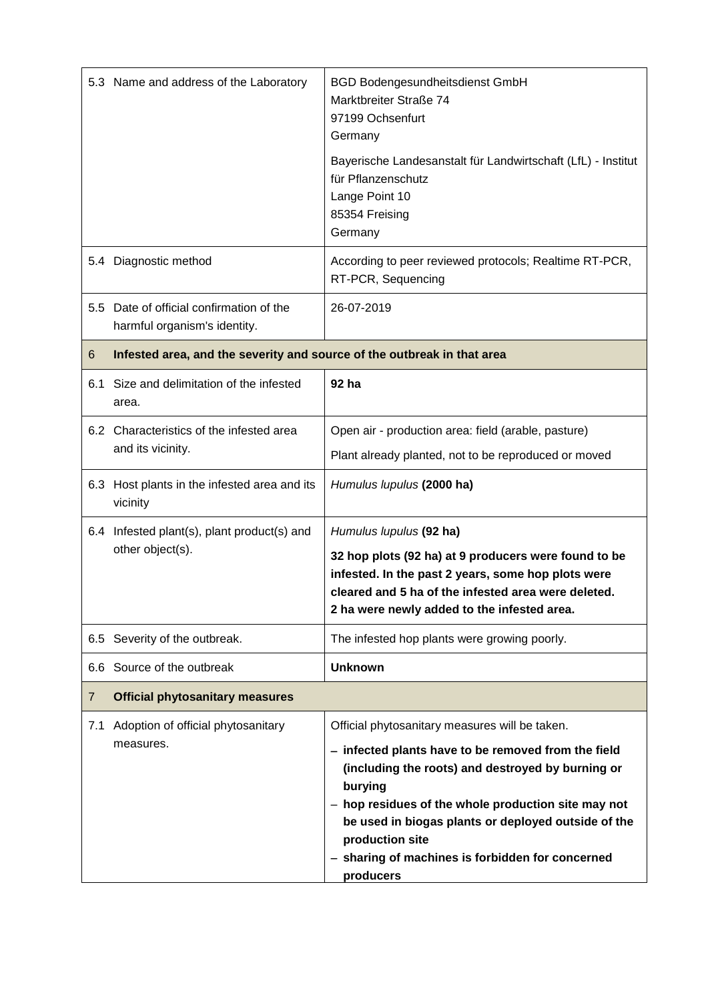|                | 5.3 Name and address of the Laboratory                                   | <b>BGD Bodengesundheitsdienst GmbH</b><br>Marktbreiter Straße 74<br>97199 Ochsenfurt<br>Germany                                                                                                                                                                                                          |
|----------------|--------------------------------------------------------------------------|----------------------------------------------------------------------------------------------------------------------------------------------------------------------------------------------------------------------------------------------------------------------------------------------------------|
|                |                                                                          | Bayerische Landesanstalt für Landwirtschaft (LfL) - Institut<br>für Pflanzenschutz<br>Lange Point 10<br>85354 Freising<br>Germany                                                                                                                                                                        |
|                | 5.4 Diagnostic method                                                    | According to peer reviewed protocols; Realtime RT-PCR,<br>RT-PCR, Sequencing                                                                                                                                                                                                                             |
|                | 5.5 Date of official confirmation of the<br>harmful organism's identity. | 26-07-2019                                                                                                                                                                                                                                                                                               |
| 6              | Infested area, and the severity and source of the outbreak in that area  |                                                                                                                                                                                                                                                                                                          |
|                | 6.1 Size and delimitation of the infested<br>area.                       | 92 ha                                                                                                                                                                                                                                                                                                    |
|                | 6.2 Characteristics of the infested area<br>and its vicinity.            | Open air - production area: field (arable, pasture)                                                                                                                                                                                                                                                      |
|                |                                                                          | Plant already planted, not to be reproduced or moved                                                                                                                                                                                                                                                     |
|                | 6.3 Host plants in the infested area and its<br>vicinity                 | Humulus lupulus (2000 ha)                                                                                                                                                                                                                                                                                |
| 6.4            | Infested plant(s), plant product(s) and                                  | Humulus lupulus (92 ha)                                                                                                                                                                                                                                                                                  |
|                | other object(s).                                                         | 32 hop plots (92 ha) at 9 producers were found to be<br>infested. In the past 2 years, some hop plots were<br>cleared and 5 ha of the infested area were deleted.<br>2 ha were newly added to the infested area.                                                                                         |
|                | 6.5 Severity of the outbreak.                                            | The infested hop plants were growing poorly.                                                                                                                                                                                                                                                             |
|                | 6.6 Source of the outbreak                                               | <b>Unknown</b>                                                                                                                                                                                                                                                                                           |
| $\overline{7}$ | <b>Official phytosanitary measures</b>                                   |                                                                                                                                                                                                                                                                                                          |
| 7.1            | Adoption of official phytosanitary                                       | Official phytosanitary measures will be taken.                                                                                                                                                                                                                                                           |
|                | measures.                                                                | - infected plants have to be removed from the field<br>(including the roots) and destroyed by burning or<br>burying<br>- hop residues of the whole production site may not<br>be used in biogas plants or deployed outside of the<br>production site<br>- sharing of machines is forbidden for concerned |
|                |                                                                          | producers                                                                                                                                                                                                                                                                                                |